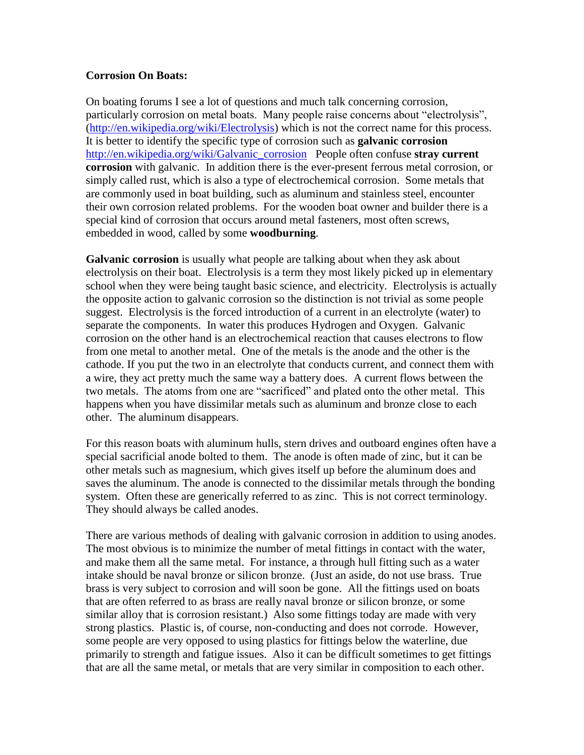## **Corrosion On Boats:**

On boating forums I see a lot of questions and much talk concerning corrosion, particularly corrosion on metal boats. Many people raise concerns about "electrolysis", [\(http://en.wikipedia.org/wiki/Electrolysis\)](http://en.wikipedia.org/wiki/Electrolysis) which is not the correct name for this process. It is better to identify the specific type of corrosion such as **galvanic corrosion**  [http://en.wikipedia.org/wiki/Galvanic\\_corrosion](http://en.wikipedia.org/wiki/Galvanic_corrosion) People often confuse **stray current corrosion** with galvanic. In addition there is the ever-present ferrous metal corrosion, or simply called rust, which is also a type of electrochemical corrosion. Some metals that are commonly used in boat building, such as aluminum and stainless steel, encounter their own corrosion related problems. For the wooden boat owner and builder there is a special kind of corrosion that occurs around metal fasteners, most often screws, embedded in wood, called by some **woodburning**.

**Galvanic corrosion** is usually what people are talking about when they ask about electrolysis on their boat. Electrolysis is a term they most likely picked up in elementary school when they were being taught basic science, and electricity. Electrolysis is actually the opposite action to galvanic corrosion so the distinction is not trivial as some people suggest. Electrolysis is the forced introduction of a current in an electrolyte (water) to separate the components. In water this produces Hydrogen and Oxygen. Galvanic corrosion on the other hand is an electrochemical reaction that causes electrons to flow from one metal to another metal. One of the metals is the anode and the other is the cathode. If you put the two in an electrolyte that conducts current, and connect them with a wire, they act pretty much the same way a battery does. A current flows between the two metals. The atoms from one are "sacrificed" and plated onto the other metal. This happens when you have dissimilar metals such as aluminum and bronze close to each other. The aluminum disappears.

For this reason boats with aluminum hulls, stern drives and outboard engines often have a special sacrificial anode bolted to them. The anode is often made of zinc, but it can be other metals such as magnesium, which gives itself up before the aluminum does and saves the aluminum. The anode is connected to the dissimilar metals through the bonding system. Often these are generically referred to as zinc. This is not correct terminology. They should always be called anodes.

There are various methods of dealing with galvanic corrosion in addition to using anodes. The most obvious is to minimize the number of metal fittings in contact with the water, and make them all the same metal. For instance, a through hull fitting such as a water intake should be naval bronze or silicon bronze. (Just an aside, do not use brass. True brass is very subject to corrosion and will soon be gone. All the fittings used on boats that are often referred to as brass are really naval bronze or silicon bronze, or some similar alloy that is corrosion resistant.) Also some fittings today are made with very strong plastics. Plastic is, of course, non-conducting and does not corrode. However, some people are very opposed to using plastics for fittings below the waterline, due primarily to strength and fatigue issues. Also it can be difficult sometimes to get fittings that are all the same metal, or metals that are very similar in composition to each other.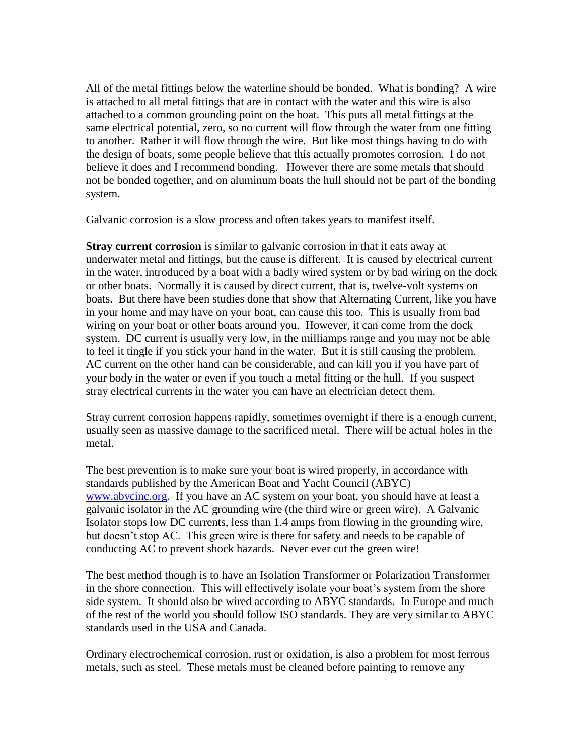All of the metal fittings below the waterline should be bonded. What is bonding? A wire is attached to all metal fittings that are in contact with the water and this wire is also attached to a common grounding point on the boat. This puts all metal fittings at the same electrical potential, zero, so no current will flow through the water from one fitting to another. Rather it will flow through the wire. But like most things having to do with the design of boats, some people believe that this actually promotes corrosion. I do not believe it does and I recommend bonding. However there are some metals that should not be bonded together, and on aluminum boats the hull should not be part of the bonding system.

Galvanic corrosion is a slow process and often takes years to manifest itself.

**Stray current corrosion** is similar to galvanic corrosion in that it eats away at underwater metal and fittings, but the cause is different. It is caused by electrical current in the water, introduced by a boat with a badly wired system or by bad wiring on the dock or other boats. Normally it is caused by direct current, that is, twelve-volt systems on boats. But there have been studies done that show that Alternating Current, like you have in your home and may have on your boat, can cause this too. This is usually from bad wiring on your boat or other boats around you. However, it can come from the dock system. DC current is usually very low, in the milliamps range and you may not be able to feel it tingle if you stick your hand in the water. But it is still causing the problem. AC current on the other hand can be considerable, and can kill you if you have part of your body in the water or even if you touch a metal fitting or the hull. If you suspect stray electrical currents in the water you can have an electrician detect them.

Stray current corrosion happens rapidly, sometimes overnight if there is a enough current, usually seen as massive damage to the sacrificed metal. There will be actual holes in the metal.

The best prevention is to make sure your boat is wired properly, in accordance with standards published by the American Boat and Yacht Council (ABYC) [www.abycinc.org.](http://www.abycinc.org/) If you have an AC system on your boat, you should have at least a galvanic isolator in the AC grounding wire (the third wire or green wire). A Galvanic Isolator stops low DC currents, less than 1.4 amps from flowing in the grounding wire, but doesn't stop AC. This green wire is there for safety and needs to be capable of conducting AC to prevent shock hazards. Never ever cut the green wire!

The best method though is to have an Isolation Transformer or Polarization Transformer in the shore connection. This will effectively isolate your boat's system from the shore side system. It should also be wired according to ABYC standards. In Europe and much of the rest of the world you should follow ISO standards. They are very similar to ABYC standards used in the USA and Canada.

Ordinary electrochemical corrosion, rust or oxidation, is also a problem for most ferrous metals, such as steel. These metals must be cleaned before painting to remove any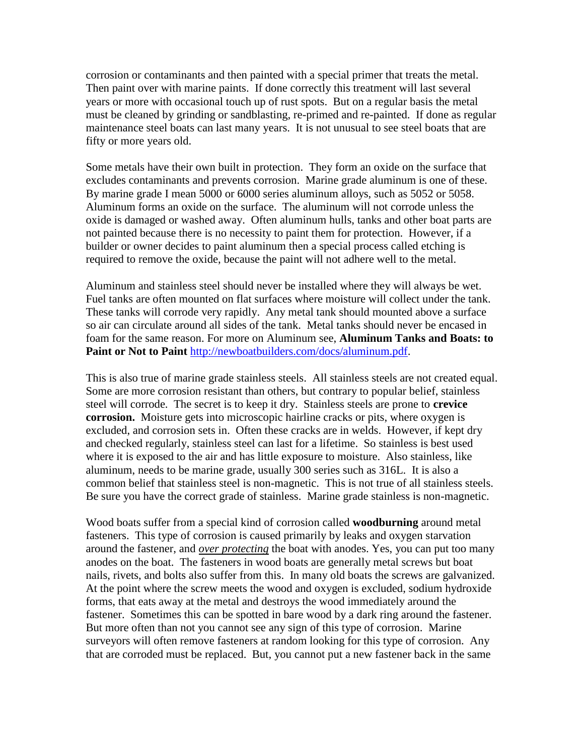corrosion or contaminants and then painted with a special primer that treats the metal. Then paint over with marine paints. If done correctly this treatment will last several years or more with occasional touch up of rust spots. But on a regular basis the metal must be cleaned by grinding or sandblasting, re-primed and re-painted. If done as regular maintenance steel boats can last many years. It is not unusual to see steel boats that are fifty or more years old.

Some metals have their own built in protection. They form an oxide on the surface that excludes contaminants and prevents corrosion. Marine grade aluminum is one of these. By marine grade I mean 5000 or 6000 series aluminum alloys, such as 5052 or 5058. Aluminum forms an oxide on the surface. The aluminum will not corrode unless the oxide is damaged or washed away. Often aluminum hulls, tanks and other boat parts are not painted because there is no necessity to paint them for protection. However, if a builder or owner decides to paint aluminum then a special process called etching is required to remove the oxide, because the paint will not adhere well to the metal.

Aluminum and stainless steel should never be installed where they will always be wet. Fuel tanks are often mounted on flat surfaces where moisture will collect under the tank. These tanks will corrode very rapidly. Any metal tank should mounted above a surface so air can circulate around all sides of the tank. Metal tanks should never be encased in foam for the same reason. For more on Aluminum see, **Aluminum Tanks and Boats: to Paint or Not to Paint** [http://newboatbuilders.com/docs/aluminum.pdf.](http://newboatbuilders.com/docs/aluminum.pdf)

This is also true of marine grade stainless steels. All stainless steels are not created equal. Some are more corrosion resistant than others, but contrary to popular belief, stainless steel will corrode. The secret is to keep it dry. Stainless steels are prone to **crevice corrosion.** Moisture gets into microscopic hairline cracks or pits, where oxygen is excluded, and corrosion sets in. Often these cracks are in welds. However, if kept dry and checked regularly, stainless steel can last for a lifetime. So stainless is best used where it is exposed to the air and has little exposure to moisture. Also stainless, like aluminum, needs to be marine grade, usually 300 series such as 316L. It is also a common belief that stainless steel is non-magnetic. This is not true of all stainless steels. Be sure you have the correct grade of stainless. Marine grade stainless is non-magnetic.

Wood boats suffer from a special kind of corrosion called **woodburning** around metal fasteners. This type of corrosion is caused primarily by leaks and oxygen starvation around the fastener, and *over protecting* the boat with anodes. Yes, you can put too many anodes on the boat. The fasteners in wood boats are generally metal screws but boat nails, rivets, and bolts also suffer from this. In many old boats the screws are galvanized. At the point where the screw meets the wood and oxygen is excluded, sodium hydroxide forms, that eats away at the metal and destroys the wood immediately around the fastener. Sometimes this can be spotted in bare wood by a dark ring around the fastener. But more often than not you cannot see any sign of this type of corrosion. Marine surveyors will often remove fasteners at random looking for this type of corrosion. Any that are corroded must be replaced. But, you cannot put a new fastener back in the same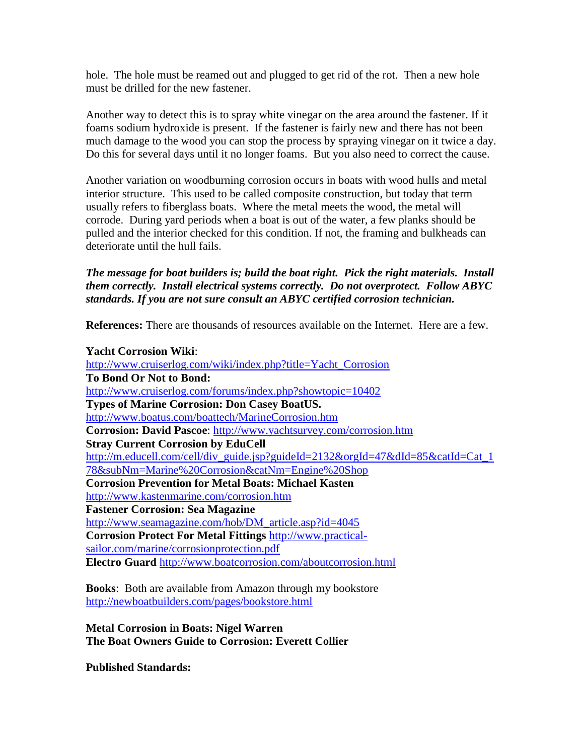hole. The hole must be reamed out and plugged to get rid of the rot. Then a new hole must be drilled for the new fastener.

Another way to detect this is to spray white vinegar on the area around the fastener. If it foams sodium hydroxide is present. If the fastener is fairly new and there has not been much damage to the wood you can stop the process by spraying vinegar on it twice a day. Do this for several days until it no longer foams. But you also need to correct the cause.

Another variation on woodburning corrosion occurs in boats with wood hulls and metal interior structure. This used to be called composite construction, but today that term usually refers to fiberglass boats. Where the metal meets the wood, the metal will corrode. During yard periods when a boat is out of the water, a few planks should be pulled and the interior checked for this condition. If not, the framing and bulkheads can deteriorate until the hull fails.

*The message for boat builders is; build the boat right. Pick the right materials. Install them correctly. Install electrical systems correctly. Do not overprotect. Follow ABYC standards. If you are not sure consult an ABYC certified corrosion technician.*

**References:** There are thousands of resources available on the Internet. Here are a few.

## **Yacht Corrosion Wiki**:

[http://www.cruiserlog.com/wiki/index.php?title=Yacht\\_Corrosion](http://www.cruiserlog.com/wiki/index.php?title=Yacht_Corrosion) **To Bond Or Not to Bond:** <http://www.cruiserlog.com/forums/index.php?showtopic=10402> **Types of Marine Corrosion: Don Casey BoatUS.** <http://www.boatus.com/boattech/MarineCorrosion.htm> **Corrosion: David Pascoe**:<http://www.yachtsurvey.com/corrosion.htm> **Stray Current Corrosion by EduCell** [http://m.educell.com/cell/div\\_guide.jsp?guideId=2132&orgId=47&dId=85&catId=Cat\\_1](http://m.educell.com/cell/div_guide.jsp?guideId=2132&orgId=47&dId=85&catId=Cat_178&subNm=Marine%20Corrosion&catNm=Engine%20Shop) [78&subNm=Marine%20Corrosion&catNm=Engine%20Shop](http://m.educell.com/cell/div_guide.jsp?guideId=2132&orgId=47&dId=85&catId=Cat_178&subNm=Marine%20Corrosion&catNm=Engine%20Shop) **Corrosion Prevention for Metal Boats: Michael Kasten** <http://www.kastenmarine.com/corrosion.htm> **Fastener Corrosion: Sea Magazine** [http://www.seamagazine.com/hob/DM\\_article.asp?id=4045](http://www.seamagazine.com/hob/DM_article.asp?id=4045) **Corrosion Protect For Metal Fittings** [http://www.practical](http://www.practical-sailor.com/marine/corrosionprotection.pdf)[sailor.com/marine/corrosionprotection.pdf](http://www.practical-sailor.com/marine/corrosionprotection.pdf) **Electro Guard** <http://www.boatcorrosion.com/aboutcorrosion.html>

**Books**: Both are available from Amazon through my bookstore <http://newboatbuilders.com/pages/bookstore.html>

**Metal Corrosion in Boats: Nigel Warren The Boat Owners Guide to Corrosion: Everett Collier**

**Published Standards:**